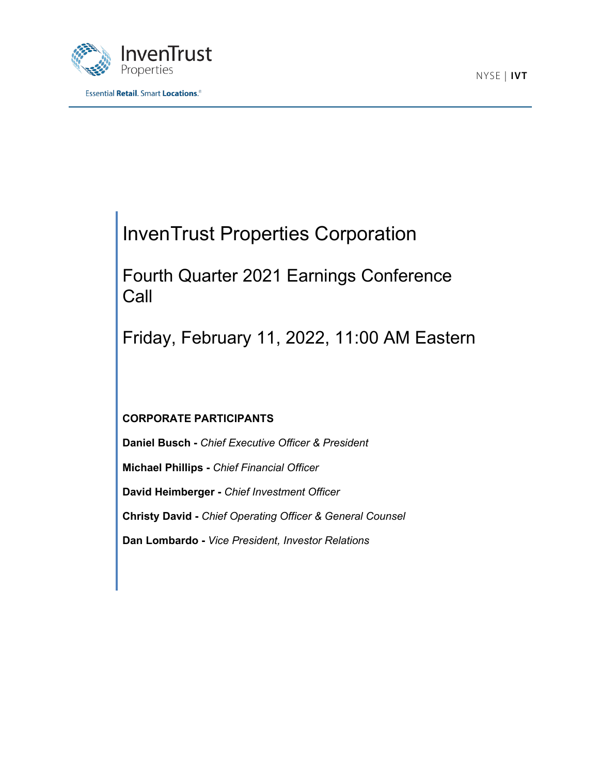



# InvenTrust Properties Corporation

Fourth Quarter 2021 Earnings Conference Call

Friday, February 11, 2022, 11:00 AM Eastern

# **CORPORATE PARTICIPANTS**

**Daniel Busch -** *Chief Executive Officer & President* **Michael Phillips -** *Chief Financial Officer* **David Heimberger -** *Chief Investment Officer* **Christy David -** *Chief Operating Officer & General Counsel* **Dan Lombardo -** *Vice President, Investor Relations*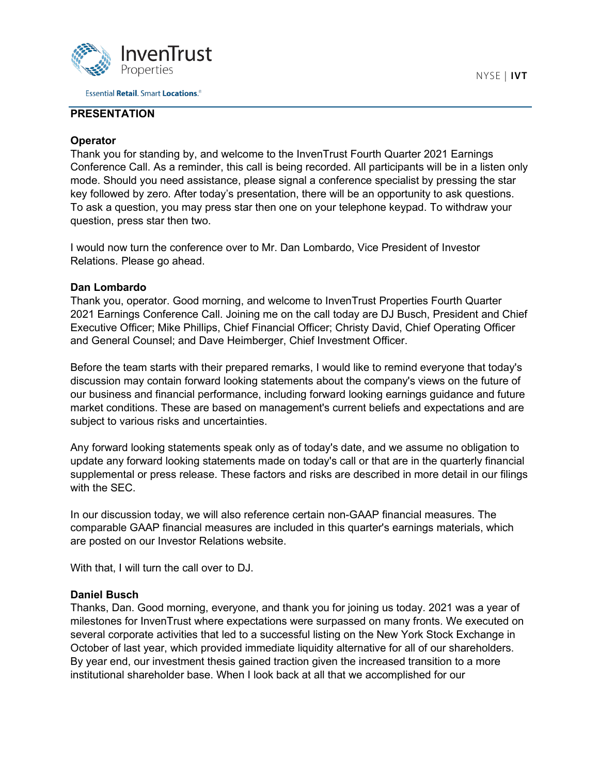

# **PRESENTATION**

## **Operator**

Thank you for standing by, and welcome to the InvenTrust Fourth Quarter 2021 Earnings Conference Call. As a reminder, this call is being recorded. All participants will be in a listen only mode. Should you need assistance, please signal a conference specialist by pressing the star key followed by zero. After today's presentation, there will be an opportunity to ask questions. To ask a question, you may press star then one on your telephone keypad. To withdraw your question, press star then two.

I would now turn the conference over to Mr. Dan Lombardo, Vice President of Investor Relations. Please go ahead.

## **Dan Lombardo**

Thank you, operator. Good morning, and welcome to InvenTrust Properties Fourth Quarter 2021 Earnings Conference Call. Joining me on the call today are DJ Busch, President and Chief Executive Officer; Mike Phillips, Chief Financial Officer; Christy David, Chief Operating Officer and General Counsel; and Dave Heimberger, Chief Investment Officer.

Before the team starts with their prepared remarks, I would like to remind everyone that today's discussion may contain forward looking statements about the company's views on the future of our business and financial performance, including forward looking earnings guidance and future market conditions. These are based on management's current beliefs and expectations and are subject to various risks and uncertainties.

Any forward looking statements speak only as of today's date, and we assume no obligation to update any forward looking statements made on today's call or that are in the quarterly financial supplemental or press release. These factors and risks are described in more detail in our filings with the SEC.

In our discussion today, we will also reference certain non-GAAP financial measures. The comparable GAAP financial measures are included in this quarter's earnings materials, which are posted on our Investor Relations website.

With that, I will turn the call over to DJ.

## **Daniel Busch**

Thanks, Dan. Good morning, everyone, and thank you for joining us today. 2021 was a year of milestones for InvenTrust where expectations were surpassed on many fronts. We executed on several corporate activities that led to a successful listing on the New York Stock Exchange in October of last year, which provided immediate liquidity alternative for all of our shareholders. By year end, our investment thesis gained traction given the increased transition to a more institutional shareholder base. When I look back at all that we accomplished for our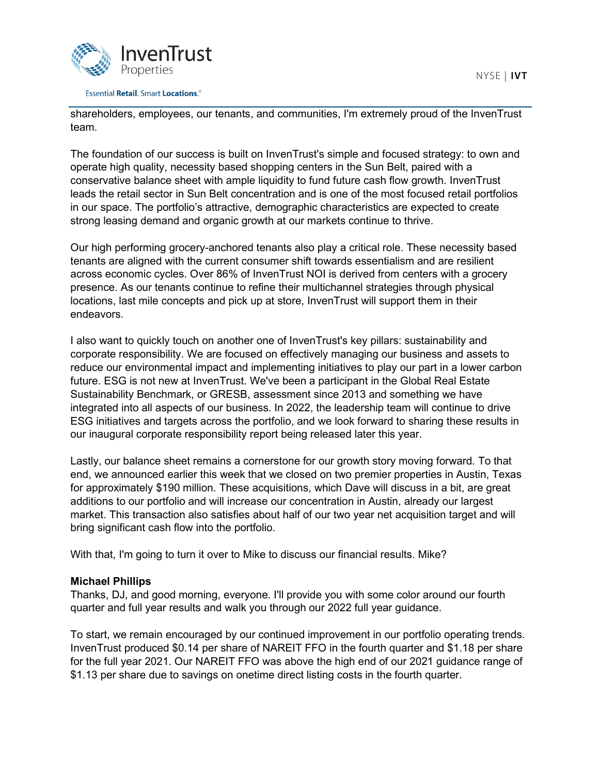

shareholders, employees, our tenants, and communities, I'm extremely proud of the InvenTrust team.

The foundation of our success is built on InvenTrust's simple and focused strategy: to own and operate high quality, necessity based shopping centers in the Sun Belt, paired with a conservative balance sheet with ample liquidity to fund future cash flow growth. InvenTrust leads the retail sector in Sun Belt concentration and is one of the most focused retail portfolios in our space. The portfolio's attractive, demographic characteristics are expected to create strong leasing demand and organic growth at our markets continue to thrive.

Our high performing grocery-anchored tenants also play a critical role. These necessity based tenants are aligned with the current consumer shift towards essentialism and are resilient across economic cycles. Over 86% of InvenTrust NOI is derived from centers with a grocery presence. As our tenants continue to refine their multichannel strategies through physical locations, last mile concepts and pick up at store, InvenTrust will support them in their endeavors.

I also want to quickly touch on another one of InvenTrust's key pillars: sustainability and corporate responsibility. We are focused on effectively managing our business and assets to reduce our environmental impact and implementing initiatives to play our part in a lower carbon future. ESG is not new at InvenTrust. We've been a participant in the Global Real Estate Sustainability Benchmark, or GRESB, assessment since 2013 and something we have integrated into all aspects of our business. In 2022, the leadership team will continue to drive ESG initiatives and targets across the portfolio, and we look forward to sharing these results in our inaugural corporate responsibility report being released later this year.

Lastly, our balance sheet remains a cornerstone for our growth story moving forward. To that end, we announced earlier this week that we closed on two premier properties in Austin, Texas for approximately \$190 million. These acquisitions, which Dave will discuss in a bit, are great additions to our portfolio and will increase our concentration in Austin, already our largest market. This transaction also satisfies about half of our two year net acquisition target and will bring significant cash flow into the portfolio.

With that, I'm going to turn it over to Mike to discuss our financial results. Mike?

## **Michael Phillips**

Thanks, DJ, and good morning, everyone. I'll provide you with some color around our fourth quarter and full year results and walk you through our 2022 full year guidance.

To start, we remain encouraged by our continued improvement in our portfolio operating trends. InvenTrust produced \$0.14 per share of NAREIT FFO in the fourth quarter and \$1.18 per share for the full year 2021. Our NAREIT FFO was above the high end of our 2021 guidance range of \$1.13 per share due to savings on onetime direct listing costs in the fourth quarter.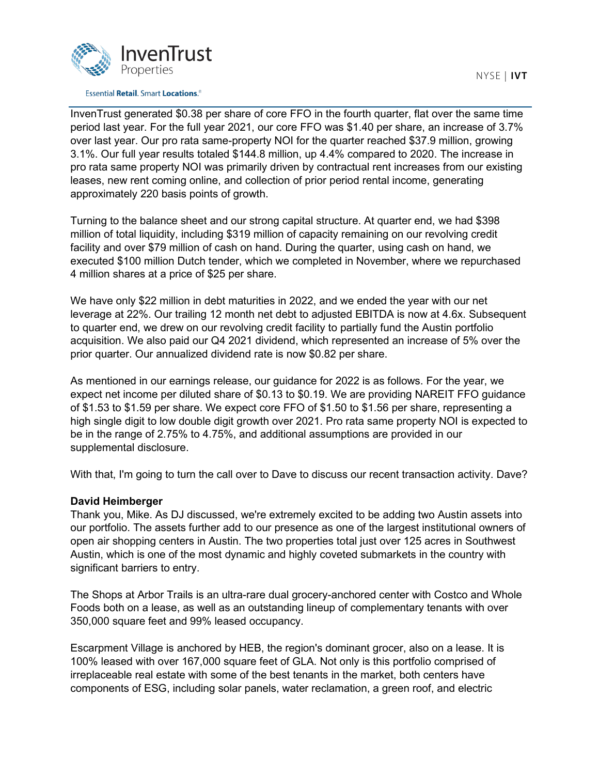

#### **Essential Retail. Smart Locations.**<sup>®</sup>

InvenTrust generated \$0.38 per share of core FFO in the fourth quarter, flat over the same time period last year. For the full year 2021, our core FFO was \$1.40 per share, an increase of 3.7% over last year. Our pro rata same-property NOI for the quarter reached \$37.9 million, growing 3.1%. Our full year results totaled \$144.8 million, up 4.4% compared to 2020. The increase in pro rata same property NOI was primarily driven by contractual rent increases from our existing leases, new rent coming online, and collection of prior period rental income, generating approximately 220 basis points of growth.

Turning to the balance sheet and our strong capital structure. At quarter end, we had \$398 million of total liquidity, including \$319 million of capacity remaining on our revolving credit facility and over \$79 million of cash on hand. During the quarter, using cash on hand, we executed \$100 million Dutch tender, which we completed in November, where we repurchased 4 million shares at a price of \$25 per share.

We have only \$22 million in debt maturities in 2022, and we ended the year with our net leverage at 22%. Our trailing 12 month net debt to adjusted EBITDA is now at 4.6x. Subsequent to quarter end, we drew on our revolving credit facility to partially fund the Austin portfolio acquisition. We also paid our Q4 2021 dividend, which represented an increase of 5% over the prior quarter. Our annualized dividend rate is now \$0.82 per share.

As mentioned in our earnings release, our guidance for 2022 is as follows. For the year, we expect net income per diluted share of \$0.13 to \$0.19. We are providing NAREIT FFO guidance of \$1.53 to \$1.59 per share. We expect core FFO of \$1.50 to \$1.56 per share, representing a high single digit to low double digit growth over 2021. Pro rata same property NOI is expected to be in the range of 2.75% to 4.75%, and additional assumptions are provided in our supplemental disclosure.

With that, I'm going to turn the call over to Dave to discuss our recent transaction activity. Dave?

## **David Heimberger**

Thank you, Mike. As DJ discussed, we're extremely excited to be adding two Austin assets into our portfolio. The assets further add to our presence as one of the largest institutional owners of open air shopping centers in Austin. The two properties total just over 125 acres in Southwest Austin, which is one of the most dynamic and highly coveted submarkets in the country with significant barriers to entry.

The Shops at Arbor Trails is an ultra-rare dual grocery-anchored center with Costco and Whole Foods both on a lease, as well as an outstanding lineup of complementary tenants with over 350,000 square feet and 99% leased occupancy.

Escarpment Village is anchored by HEB, the region's dominant grocer, also on a lease. It is 100% leased with over 167,000 square feet of GLA. Not only is this portfolio comprised of irreplaceable real estate with some of the best tenants in the market, both centers have components of ESG, including solar panels, water reclamation, a green roof, and electric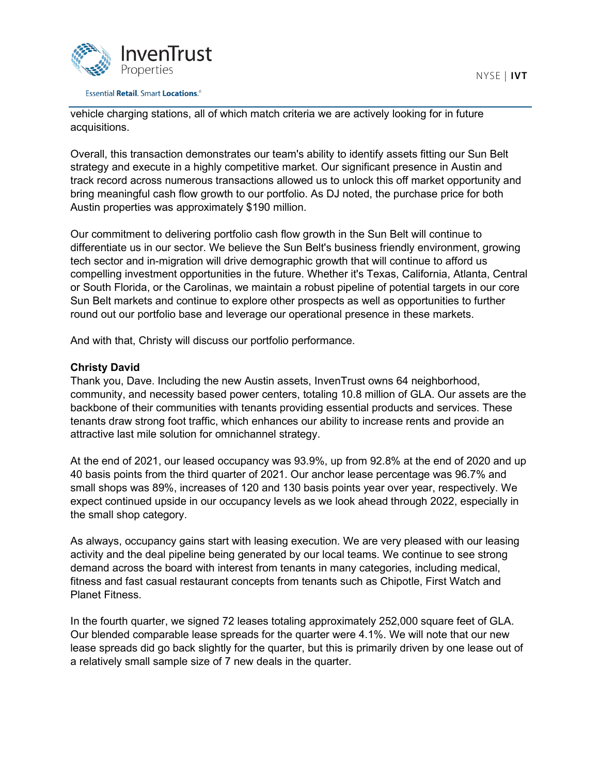

#### **Essential Retail. Smart Locations.**<sup>®</sup>

vehicle charging stations, all of which match criteria we are actively looking for in future acquisitions.

Overall, this transaction demonstrates our team's ability to identify assets fitting our Sun Belt strategy and execute in a highly competitive market. Our significant presence in Austin and track record across numerous transactions allowed us to unlock this off market opportunity and bring meaningful cash flow growth to our portfolio. As DJ noted, the purchase price for both Austin properties was approximately \$190 million.

Our commitment to delivering portfolio cash flow growth in the Sun Belt will continue to differentiate us in our sector. We believe the Sun Belt's business friendly environment, growing tech sector and in-migration will drive demographic growth that will continue to afford us compelling investment opportunities in the future. Whether it's Texas, California, Atlanta, Central or South Florida, or the Carolinas, we maintain a robust pipeline of potential targets in our core Sun Belt markets and continue to explore other prospects as well as opportunities to further round out our portfolio base and leverage our operational presence in these markets.

And with that, Christy will discuss our portfolio performance.

# **Christy David**

Thank you, Dave. Including the new Austin assets, InvenTrust owns 64 neighborhood, community, and necessity based power centers, totaling 10.8 million of GLA. Our assets are the backbone of their communities with tenants providing essential products and services. These tenants draw strong foot traffic, which enhances our ability to increase rents and provide an attractive last mile solution for omnichannel strategy.

At the end of 2021, our leased occupancy was 93.9%, up from 92.8% at the end of 2020 and up 40 basis points from the third quarter of 2021. Our anchor lease percentage was 96.7% and small shops was 89%, increases of 120 and 130 basis points year over year, respectively. We expect continued upside in our occupancy levels as we look ahead through 2022, especially in the small shop category.

As always, occupancy gains start with leasing execution. We are very pleased with our leasing activity and the deal pipeline being generated by our local teams. We continue to see strong demand across the board with interest from tenants in many categories, including medical, fitness and fast casual restaurant concepts from tenants such as Chipotle, First Watch and Planet Fitness.

In the fourth quarter, we signed 72 leases totaling approximately 252,000 square feet of GLA. Our blended comparable lease spreads for the quarter were 4.1%. We will note that our new lease spreads did go back slightly for the quarter, but this is primarily driven by one lease out of a relatively small sample size of 7 new deals in the quarter.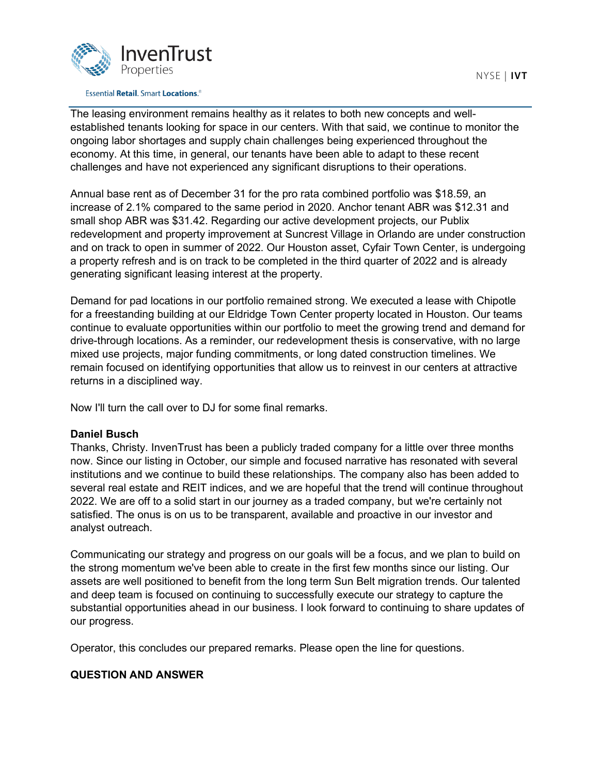

The leasing environment remains healthy as it relates to both new concepts and wellestablished tenants looking for space in our centers. With that said, we continue to monitor the ongoing labor shortages and supply chain challenges being experienced throughout the economy. At this time, in general, our tenants have been able to adapt to these recent challenges and have not experienced any significant disruptions to their operations.

Annual base rent as of December 31 for the pro rata combined portfolio was \$18.59, an increase of 2.1% compared to the same period in 2020. Anchor tenant ABR was \$12.31 and small shop ABR was \$31.42. Regarding our active development projects, our Publix redevelopment and property improvement at Suncrest Village in Orlando are under construction and on track to open in summer of 2022. Our Houston asset, Cyfair Town Center, is undergoing a property refresh and is on track to be completed in the third quarter of 2022 and is already generating significant leasing interest at the property.

Demand for pad locations in our portfolio remained strong. We executed a lease with Chipotle for a freestanding building at our Eldridge Town Center property located in Houston. Our teams continue to evaluate opportunities within our portfolio to meet the growing trend and demand for drive-through locations. As a reminder, our redevelopment thesis is conservative, with no large mixed use projects, major funding commitments, or long dated construction timelines. We remain focused on identifying opportunities that allow us to reinvest in our centers at attractive returns in a disciplined way.

Now I'll turn the call over to DJ for some final remarks.

# **Daniel Busch**

Thanks, Christy. InvenTrust has been a publicly traded company for a little over three months now. Since our listing in October, our simple and focused narrative has resonated with several institutions and we continue to build these relationships. The company also has been added to several real estate and REIT indices, and we are hopeful that the trend will continue throughout 2022. We are off to a solid start in our journey as a traded company, but we're certainly not satisfied. The onus is on us to be transparent, available and proactive in our investor and analyst outreach.

Communicating our strategy and progress on our goals will be a focus, and we plan to build on the strong momentum we've been able to create in the first few months since our listing. Our assets are well positioned to benefit from the long term Sun Belt migration trends. Our talented and deep team is focused on continuing to successfully execute our strategy to capture the substantial opportunities ahead in our business. I look forward to continuing to share updates of our progress.

Operator, this concludes our prepared remarks. Please open the line for questions.

# **QUESTION AND ANSWER**